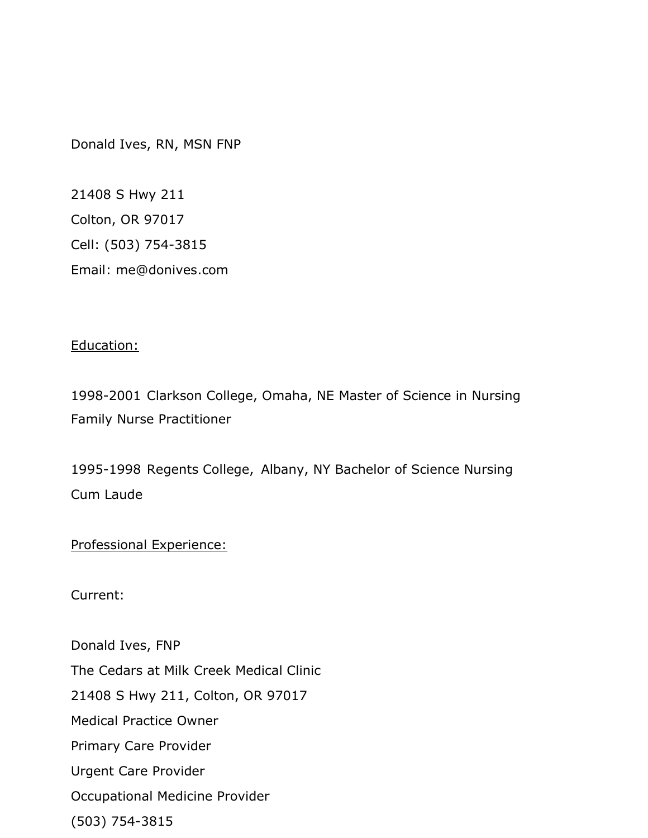Donald Ives, RN, MSN FNP

21408 S Hwy 211 Colton, OR 97017 Cell: (503) 754-3815 Email: me@donives.com

## Education:

1998-2001 Clarkson College, Omaha, NE Master of Science in Nursing Family Nurse Practitioner

1995-1998 Regents College, Albany, NY Bachelor of Science Nursing Cum Laude

Professional Experience:

Current:

Donald Ives, FNP The Cedars at Milk Creek Medical Clinic 21408 S Hwy 211, Colton, OR 97017 Medical Practice Owner Primary Care Provider Urgent Care Provider Occupational Medicine Provider (503) 754-3815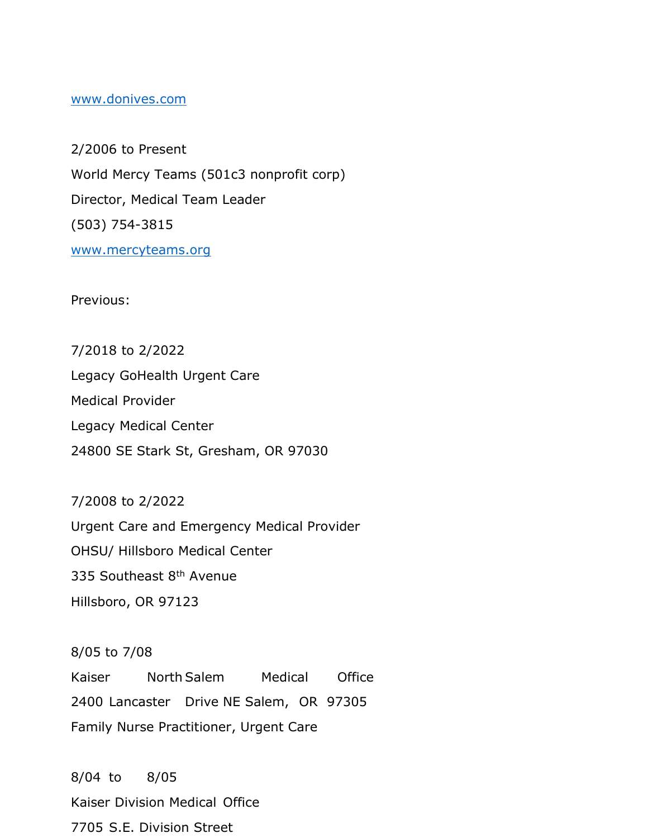## www.donives.com

2/2006 to Present World Mercy Teams (501c3 nonprofit corp) Director, Medical Team Leader (503) 754-3815 www.mercyteams.org

Previous:

7/2018 to 2/2022 Legacy GoHealth Urgent Care Medical Provider Legacy Medical Center 24800 SE Stark St, Gresham, OR 97030

7/2008 to 2/2022

Urgent Care and Emergency Medical Provider OHSU/ Hillsboro Medical Center 335 Southeast 8<sup>th</sup> Avenue Hillsboro, OR 97123

8/05 to 7/08 Kaiser North Salem Medical Office 2400 Lancaster Drive NE Salem, OR 97305 Family Nurse Practitioner, Urgent Care

8/04 to 8/05 Kaiser Division Medical Office 7705 S.E. Division Street